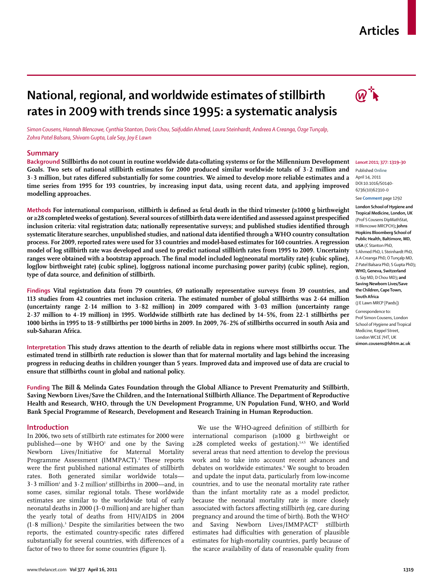# **Articles**

# **National, regional, and worldwide estimates of stillbirth rates in 2009 with trends since 1995: a systematic analysis**

*Simon Cousens, Hannah Blencowe, Cynthia Stanton, Doris Chou, Saifuddin Ahmed, Laura Steinhardt, Andreea A Creanga, Özge Tunçalp, Zohra Patel Balsara, Shivam Gupta, Lale Say, Joy E Lawn*

# **Summary**

**Background Stillbirths do not count in routine worldwide data-collating systems or for the Millennium Development Goals. Two sets of national stillbirth estimates for 2000 produced similar worldwide totals of 3·2 million and 3·3 million, but rates diff ered substantially for some countries. We aimed to develop more reliable estimates and a time series from 1995 for 193 countries, by increasing input data, using recent data, and applying improved modelling approaches.** 

Methods For international comparison, stillbirth is defined as fetal death in the third trimester (≥1000 g birthweight or ≥28 completed weeks of gestation). Several sources of stillbirth data were identified and assessed against prespecified inclusion criteria: vital registration data; nationally representative surveys; and published studies identified through systematic literature searches, unpublished studies, and national data identified through a WHO country consultation **process. For 2009, reported rates were used for 33 countries and model-based estimates for 160 countries. A regression model of log stillbirth rate was developed and used to predict national stillbirth rates from 1995 to 2009. Uncertainty**  ranges were obtained with a bootstrap approach. The final model included log(neonatal mortality rate) (cubic spline), **log(low birthweight rate) (cubic spline), log(gross national income purchasing power parity) (cubic spline), region,**  type of data source, and definition of stillbirth.

**Findings Vital registration data from 79 countries, 69 nationally representative surveys from 39 countries, and 113 studies from 42 countries met inclusion criteria. The estimated number of global stillbirths was 2·64 million (uncertainty range 2·14 million to 3·82 million) in 2009 compared with 3·03 million (uncertainty range 2·37 million to 4·19 million) in 1995. Worldwide stillbirth rate has declined by 14·5%, from 22·1 stillbirths per 1000 births in 1995 to 18·9 stillbirths per 1000 births in 2009. In 2009, 76·2% of stillbirths occurred in south Asia and sub-Saharan Africa.**

**Interpretation This study draws attention to the dearth of reliable data in regions where most stillbirths occur. The estimated trend in stillbirth rate reduction is slower than that for maternal mortality and lags behind the increasing progress in reducing deaths in children younger than 5 years. Improved data and improved use of data are crucial to ensure that stillbirths count in global and national policy.**

**Funding The Bill & Melinda Gates Foundation through the Global Alliance to Prevent Prematurity and Stillbirth, Saving Newborn Lives/Save the Children, and the International Stillbirth Alliance. The Department of Reproductive Health and Research, WHO, through the UN Development Programme, UN Population Fund, WHO, and World Bank Special Programme of Research, Development and Research Training in Human Reproduction.**

# **Introduction**

In 2006, two sets of stillbirth rate estimates for 2000 were published—one by WHO<sup>1</sup> and one by the Saving Newborn Lives/Initiative for Maternal Mortality Programme Assessment (IMMPACT).<sup>2</sup> These reports were the first published national estimates of stillbirth rates. Both generated similar worldwide totals—  $3 \cdot 3$  million<sup>1</sup> and  $3 \cdot 2$  million<sup>2</sup> stillbirths in 2000—and, in some cases, similar regional totals. These worldwide estimates are similar to the worldwide total of early neonatal deaths in 2000 (3·0 million) and are higher than the yearly total of deaths from HIV/AIDS in 2004  $(1.8 \text{ million})$ .<sup>3</sup> Despite the similarities between the two reports, the estimated country-specific rates differed substantially for several countries, with differences of a factor of two to three for some countries (figure 1).

We use the WHO-agreed definition of stillbirth for international comparison (≥1000 g birthweight or ≥28 completed weeks of gestation).<sup>1,4,5</sup> We identified several areas that need attention to develop the previous work and to take into account recent advances and debates on worldwide estimates.6 We sought to broaden and update the input data, particularly from low-income countries, and to use the neonatal mortality rate rather than the infant mortality rate as a model predictor, because the neonatal mortality rate is more closely associated with factors affecting stillbirth (eg, care during pregnancy and around the time of birth). Both the WHO<sup>1</sup> and Saving Newborn Lives/IMMPACT<sup>2</sup> stillbirth estimates had difficulties with generation of plausible estimates for high-mortality countries, partly because of the scarce availability of data of reasonable quality from



### *Lancet* **2011; 377: 1319–30**

Published **Online** April 14, 2011 DOI:10.1016/S0140- 6736(10)62310-0

See **Comment** page 1292

**London School of Hygiene and Tropical Medicine, London, UK**  (Prof S Cousens DipMathStat, H Blencowe MRCPCH)**; Johns Hopkins Bloomberg School of Public Health, Baltimore, MD, USA** (C Stanton PhD, S Ahmed PhD, L Steinhardt PhD, A A Creanga PhD, Ö Tunçalp MD, Z Patel Balsara PhD, S Gupta PhD)**; WHO, Geneva, Switzerland**  (L Say MD, D Chou MD)**; and Saving Newborn Lives/Save the Children, Cape Town, South Africa**  (J E Lawn MRCP [Paeds])

Correspondence to: Prof Simon Cousens, London School of Hygiene and Tropical Medicine, Keppel Street, London WC1E 7HT, UK **simon.cousens@lshtm.ac.uk**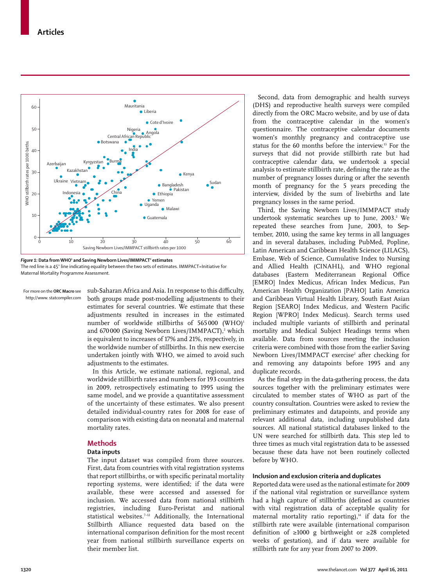

*Figure 1:* **Data from WHO1 and Saving Newborn Lives/IMMPACT2 estimates**

The red line is a 45° line indicating equality between the two sets of estimates. IMMPACT=Initiative for Maternal Mortality Programme Assessment.

For more on the **ORC Macro** see http://www. statcompiler.com sub-Saharan Africa and Asia. In response to this difficulty, both groups made post-modelling adjustments to their estimates for several countries. We estimate that these adjustments resulted in increases in the estimated number of worldwide stillbirths of 565000 (WHO)<sup>1</sup> and 670 000 (Saving Newborn Lives/IMMPACT),<sup>2</sup> which is equivalent to increases of 17% and 21%, respectively, in the worldwide number of stillbirths. In this new exercise undertaken jointly with WHO, we aimed to avoid such adjustments to the estimates.

In this Article, we estimate national, regional, and worldwide stillbirth rates and numbers for 193 countries in 2009, retrospectively estimating to 1995 using the same model, and we provide a quantitative assessment of the uncertainty of these estimates. We also present detailed individual-country rates for 2008 for ease of comparison with existing data on neonatal and maternal mortality rates.

# **Methods**

## **Data inputs**

The input dataset was compiled from three sources. First, data from countries with vital registration systems that report stillbirths, or with specific perinatal mortality reporting systems, were identified; if the data were available, these were accessed and assessed for inclusion. We accessed data from national stillbirth registries, including Euro-Peristat and national statistical websites.<sup>7-12</sup> Additionally, the International Stillbirth Alliance requested data based on the international comparison definition for the most recent year from national stillbirth surveillance experts on their member list.

Second, data from demographic and health surveys (DHS) and reproductive health surveys were compiled directly from the ORC Macro website, and by use of data from the contraceptive calendar in the women's questionnaire. The contraceptive calendar documents women's monthly pregnancy and contraceptive use status for the 60 months before the interview.13 For the surveys that did not provide stillbirth rate but had contraceptive calendar data, we undertook a special analysis to estimate stillbirth rate, defining the rate as the number of pregnancy losses during or after the seventh month of pregnancy for the 5 years preceding the interview, divided by the sum of livebirths and late pregnancy losses in the same period.

Third, the Saving Newborn Lives/IMMPACT study undertook systematic searches up to June, 2003.<sup>2</sup> We repeated these searches from June, 2003, to Septem ber, 2010, using the same key terms in all languages and in several databases, including PubMed, Popline, Latin American and Caribbean Health Science (LILACS), Embase, Web of Science, Cumulative Index to Nursing and Allied Health (CINAHL), and WHO regional databases (Eastern Mediterranean Regional Office [EMRO] Index Medicus, African Index Medicus, Pan American Health Organization [PAHO] Latin America and Caribbean Virtual Health Library, South East Asian Region [SEARO] Index Medicus, and Western Pacific Region [WPRO] Index Medicus). Search terms used included multiple variants of stillbirth and perinatal mortality and Medical Subject Headings terms when available. Data from sources meeting the inclusion criteria were combined with those from the earlier Saving Newborn Lives/IMMPACT exercise<sup>2</sup> after checking for and removing any datapoints before 1995 and any duplicate records.

As the final step in the data-gathering process, the data sources together with the preliminary estimates were circulated to member states of WHO as part of the country consultation. Countries were asked to review the preliminary estimates and datapoints, and provide any relevant additional data, including unpublished data sources. All national statistical databases linked to the UN were searched for stillbirth data. This step led to three times as much vital registration data to be assessed because these data have not been routinely collected before by WHO.

# **Inclusion and exclusion criteria and duplicates**

Reported data were used as the national estimate for 2009 if the national vital registration or surveillance system had a high capture of stillbirths (defined as countries with vital registration data of acceptable quality for maternal mortality ratio reporting), $14$  if data for the stillbirth rate were available (international comparison definition of ≥1000 g birthweight or ≥28 completed weeks of gestation), and if data were available for stillbirth rate for any year from 2007 to 2009.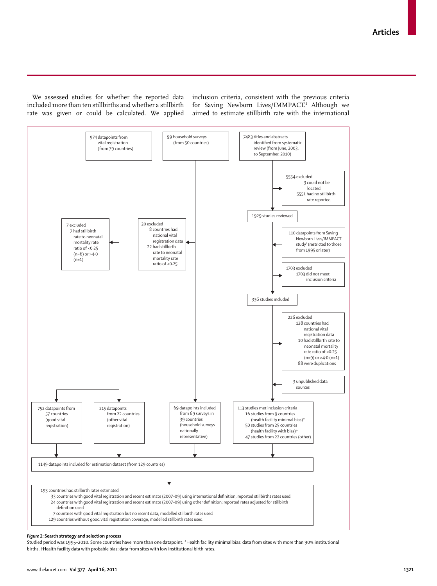We assessed studies for whether the reported data included more than ten stillbirths and whether a stillbirth rate was given or could be calculated. We applied inclusion criteria, consistent with the previous criteria for Saving Newborn Lives/IMMPACT.<sup>2</sup> Although we aimed to estimate stillbirth rate with the international



### *Figure 2:* **Search strategy and selection process**

Studied period was 1995–2010. Some countries have more than one datapoint. \*Health facility minimal bias: data from sites with more than 90% institutional births. †Health facility data with probable bias: data from sites with low institutional birth rates.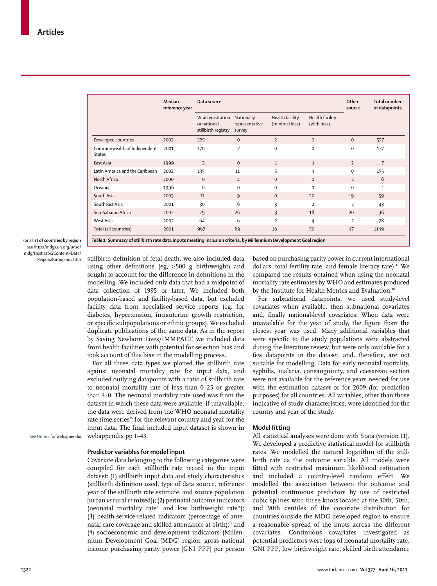|                                              | Median<br>reference year | Data source                                              |                                        |                                   |                                |                | <b>Total number</b><br>of datapoints |
|----------------------------------------------|--------------------------|----------------------------------------------------------|----------------------------------------|-----------------------------------|--------------------------------|----------------|--------------------------------------|
|                                              |                          | Vital registration<br>or national<br>stillbirth registry | Nationally<br>representative<br>survey | Health facility<br>(minimal bias) | Health facility<br>(with bias) |                |                                      |
| Developed countries                          | 2002                     | 525                                                      | $\mathbf{0}$                           | $\overline{2}$                    | $\mathbf{0}$                   | $\mathbf{0}$   | 527                                  |
| Commonwealth of Independent<br><b>States</b> | 2001                     | 170                                                      | $\overline{7}$                         | $\mathbf 0$                       | $\mathbf 0$                    | $\mathbf 0$    | 177                                  |
| East Asia                                    | 1999                     | 3                                                        | $\mathbf{0}$                           | $\mathbf{1}$                      | $\mathbf{1}$                   | $\overline{2}$ | $\overline{7}$                       |
| Latin America and the Caribbean              | 2002                     | 135                                                      | 11                                     | 5                                 | $\overline{4}$                 | $\mathbf 0$    | 155                                  |
| North Africa                                 | 2000                     | $\mathbf{0}$                                             | $\overline{4}$                         | $\mathbf{0}$                      | $\mathbf{0}$                   | $\overline{2}$ | 6                                    |
| Oceania                                      | 1996                     | $\mathbf 0$                                              | $\mathbf 0$                            | $\mathbf 0$                       | $\mathbf{1}$                   | $\mathbf 0$    | $\mathbf{1}$                         |
| South Asia                                   | 2003                     | 11                                                       | 9                                      | $\mathbf{0}$                      | 20                             | 19             | 59                                   |
| Southeast Asia                               | 2001                     | 30                                                       | 6                                      | 3                                 | $\overline{2}$                 | $\overline{2}$ | 43                                   |
| Sub-Saharan Africa                           | 2002                     | 29                                                       | 26                                     | 3                                 | 18                             | 20             | 96                                   |
| West Asia                                    | 2002                     | 64                                                       | 6                                      | $\overline{\phantom{a}}$          | $\overline{4}$                 | $\overline{2}$ | 78                                   |
| Total (all countries)                        | 2001                     | 967                                                      | 69                                     | 16                                | 50                             | 47             | 1149                                 |

 $F$ or a **list of countries by region** see http://mdgs.un.org/unsd/ mdg/Host.aspx?Content=Data/ RegionalGroupings.htm

stillbirth definition of fetal death, we also included data using other definitions (eg,  $\geq 500$  g birthweight) and sought to account for the difference in definitions in the modelling. We included only data that had a midpoint of data collection of 1995 or later. We included both population-based and facility-based data, but excluded facility data from specialised service reports (eg, for diabetes, hypertension, intrauterine growth restriction, or specific subpopulations or ethnic groups). We excluded duplicate publications of the same data. As in the report by Saving Newborn Lives/IMMPACT, we included data from health facilities with potential for selection bias and took account of this bias in the modelling process.

For all three data types we plotted the stillbirth rate against neonatal mortality rate for input data, and excluded outlying datapoints with a ratio of stillbirth rate to neonatal mortality rate of less than  $0.25$  or greater than 4·0. The neonatal mortality rate used was from the dataset in which these data were available; if unavailable, the data were derived from the WHO neonatal mortality rate time series<sup>15</sup> for the relevant country and year for the input data. The final included input dataset is shown in webappendix pp 1–43.

See **Online** for webappendix

# **Predictor variables for model input**

Covariate data belonging to the following categories were compiled for each stillbirth rate record in the input dataset: (1) stillbirth input data and study characteristics (stillbirth definition used, type of data source, reference year of the stillbirth rate estimate, and source population [urban *vs* rural *vs* mixed]); (2) perinatal outcome indicators (neonatal mortality rate<sup>15</sup> and low birthweight rate<sup>16</sup>); (3) health-service-related indicators (percentage of antenatal care coverage and skilled attendance at birth); $v$  and (4) socioeconomic and development indicators (Millennium Development Goal [MDG] region, gross national income purchasing parity power [GNI PPP] per person based on purchasing parity power in current international dollars, total fertility rate, and female literacy rate).<sup>17</sup> We compared the results obtained when using the neonatal mortality rate estimates by WHO and estimates produced by the Institute for Health Metrics and Evaluation.<sup>18</sup>

For subnational datapoints, we used study-level covariates when available, then subnational covariates and, finally national-level covariates. When data were unavailable for the year of study, the figure from the closest year was used. Many additional variables that were specific to the study populations were abstracted during the literature review, but were only available for a few datapoints in the dataset, and, therefore, are not suitable for modelling. Data for early neonatal mortality, syphilis, malaria, consanguinity, and caesarean section were not available for the reference years needed for use with the estimation dataset or for 2009 (for prediction purposes) for all countries. All variables, other than those indicative of study characteristics, were identified for the country and year of the study.

# **Model fi tting**

All statistical analyses were done with Stata (version 11). We developed a predictive statistical model for stillbirth rates. We modelled the natural logarithm of the stillbirth rate as the outcome variable. All models were fitted with restricted maximum likelihood estimation and included a country-level random effect. We modelled the association between the outcome and potential continuous predictors by use of restricted cubic splines with three knots located at the 10th, 50th, and 90th centiles of the covariate distribution for countries outside the MDG developed region to ensure a reasonable spread of the knots across the different covariates. Continuous covariates investigated as potential predictors were logs of neonatal mortality rate, GNI PPP, low birthweight rate, skilled birth attendance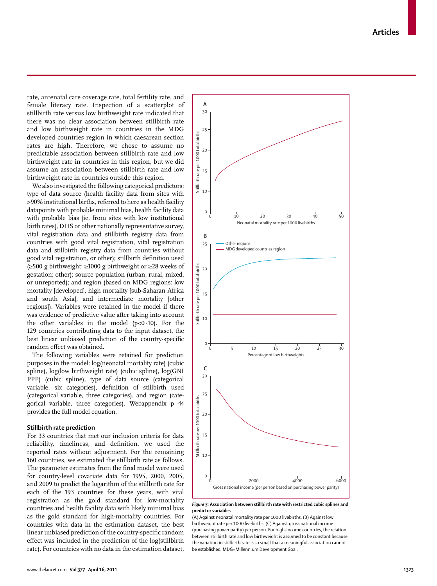**Articles**

rate, antenatal care coverage rate, total fertility rate, and female literacy rate. Inspection of a scatterplot of stillbirth rate versus low birthweight rate indicated that there was no clear association between stillbirth rate and low birthweight rate in countries in the MDG developed countries region in which caesarean section rates are high. Therefore, we chose to assume no predictable association between stillbirth rate and low birthweight rate in countries in this region, but we did assume an association between stillbirth rate and low birthweight rate in countries outside this region.

We also investigated the following categorical predictors: type of data source (health facility data from sites with >90% institutional births, referred to here as health facility datapoints with probable minimal bias, health facility data with probable bias [ie, from sites with low institutional birth rates], DHS or other nationally representative survey, vital registration data and stillbirth registry data from countries with good vital registration, vital registration data and stillbirth registry data from countries without good vital registration, or other); stillbirth definition used (≥500 g birthweight; ≥1000 g birthweight or ≥28 weeks of gestation; other); source population (urban, rural, mixed, or unreported); and region (based on MDG regions: low mortality [developed], high mortality [sub-Saharan Africa and south Asia], and intermediate mortality [other regions]). Variables were retained in the model if there was evidence of predictive value after taking into account the other variables in the model  $(p<0.10)$ . For the 129 countries contributing data to the input dataset, the best linear unbiased prediction of the country-specific random effect was obtained.

The following variables were retained for prediction purposes in the model: log(neonatal mortality rate) (cubic spline), log(low birthweight rate) (cubic spline), log(GNI PPP) (cubic spline), type of data source (categorical variable, six categories), definition of stillbirth used (categorical variable, three categories), and region (categorical variable, three categories). Webappendix p 44 provides the full model equation.

# **Stillbirth rate prediction**

For 33 countries that met our inclusion criteria for data reliability, timeliness, and definition, we used the reported rates without adjustment. For the remaining 160 countries, we estimated the stillbirth rate as follows. The parameter estimates from the final model were used for country-level covariate data for 1995, 2000, 2005, and 2009 to predict the logarithm of the stillbirth rate for each of the 193 countries for these years, with vital registration as the gold standard for low-mortality countries and health facility data with likely minimal bias as the gold standard for high-mortality countries. For countries with data in the estimation dataset, the best linear unbiased prediction of the country-specific random effect was included in the prediction of the log(stillbirth rate). For countries with no data in the estimation dataset,



*Figure 3:* **Association between stillbirth rate with restricted cubic splines and predictor variables**

(A) Against neonatal mortality rate per 1000 livebirths. (B) Against low birthweight rate per 1000 livebirths. (C) Against gross national income (purchasing power parity) per person. For high-income countries, the relation between stillbirth rate and low birthweight is assumed to be constant because the variation in stillbirth rate is so small that a meaningful association cannot be established. MDG=Millennium Development Goal.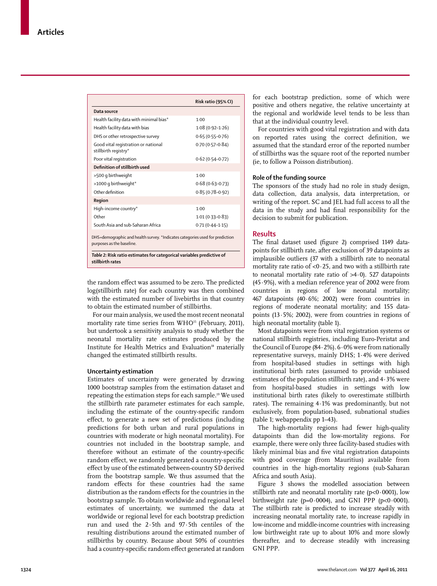|                                                                                              | Risk ratio (95% CI) |
|----------------------------------------------------------------------------------------------|---------------------|
| Data source                                                                                  |                     |
| Health facility data with minimal bias*                                                      | $1-00$              |
| Health facility data with bias                                                               | $1.08(0.92 - 1.26)$ |
| DHS or other retrospective survey                                                            | $0.65(0.55 - 0.76)$ |
| Good vital registration or national<br>stillbirth registry*                                  | $0.70(0.57-0.84)$   |
| Poor vital registration                                                                      | $0.62(0.54 - 0.72)$ |
| Definition of stillbirth used                                                                |                     |
| >500 g birthweight                                                                           | 1.00                |
| >1000 g birthweight*                                                                         | $0.68(0.63 - 0.73)$ |
| Other definition                                                                             | $0.85(0.78-0.92)$   |
| Region                                                                                       |                     |
| High-income country*                                                                         | 1.00                |
| Other                                                                                        | $1.01(0.33 - 0.83)$ |
| South Asia and sub-Saharan Africa                                                            | $0.71(0.44 - 1.15)$ |
| DHC - dans a shekalata ang dilaga kalendar Athaltasa sa sa sa sa sa sa sa difaso ng ditatang |                     |

DHS=demographic and health survey. \*Indicates categories used for prediction purposes as the baseline.

*Table 2:* **Risk ratio estimates for categorical variables predictive of stillbirth rates**

the random effect was assumed to be zero. The predicted log(stillbirth rate) for each country was then combined with the estimated number of livebirths in that country to obtain the estimated number of stillbirths.

For our main analysis, we used the most recent neonatal mortality rate time series from WHO<sup>15</sup> (February, 2011), but undertook a sensitivity analysis to study whether the neonatal mortality rate estimates produced by the Institute for Health Metrics and Evaluation<sup>18</sup> materially changed the estimated stillbirth results.

# **Uncertainty estimation**

Estimates of uncertainty were generated by drawing 1000 bootstrap samples from the estimation dataset and repeating the estimation steps for each sample.19 We used the stillbirth rate parameter estimates for each sample, including the estimate of the country-specific random effect, to generate a new set of predictions (including predictions for both urban and rural populations in countries with moderate or high neonatal mortality). For countries not included in the bootstrap sample, and therefore without an estimate of the country-specific random effect, we randomly generated a country-specific effect by use of the estimated between-country SD derived from the bootstrap sample. We thus assumed that the random effects for these countries had the same distribution as the random effects for the countries in the bootstrap sample. To obtain worldwide and regional level estimates of uncertainty, we summed the data at worldwide or regional level for each bootstrap prediction run and used the 2·5th and 97·5th centiles of the resulting distributions around the estimated number of stillbirths by country. Because about 50% of countries had a country-specific random effect generated at random for each bootstrap prediction, some of which were positive and others negative, the relative uncertainty at the regional and worldwide level tends to be less than that at the individual country level.

For countries with good vital registration and with data on reported rates using the correct definition, we assumed that the standard error of the reported number of stillbirths was the square root of the reported number (ie, to follow a Poisson distribution).

# **Role of the funding source**

The sponsors of the study had no role in study design, data collection, data analysis, data interpretation, or writing of the report. SC and JEL had full access to all the data in the study and had final responsibility for the decision to submit for publication.

# **Results**

The final dataset used (figure 2) comprised 1149 datapoints for stillbirth rate, after exclusion of 39 datapoints as implausible outliers (37 with a stillbirth rate to neonatal mortality rate ratio of <0.25, and two with a stillbirth rate to neonatal mortality rate ratio of  $>4.0$ ). 527 datapoints (45·9%), with a median reference year of 2002 were from countries in regions of low neonatal mortality; 467 datapoints (40·6%; 2002) were from countries in regions of moderate neonatal mortality; and 155 datapoints (13·5%; 2002), were from countries in regions of high neonatal mortality (table 1).

Most datapoints were from vital registration systems or national stillbirth registries, including Euro-Peristat and the Council of Europe (84·2%). 6·0% were from nationally representative surveys, mainly DHS; 1·4% were derived from hospital-based studies in settings with high institutional birth rates (assumed to provide unbiased estimates of the population stillbirth rate), and 4·3% were from hospital-based studies in settings with low institutional birth rates (likely to overestimate stillbirth rates). The remaining 4·1% was predominantly, but not exclusively, from population-based, subnational studies (table 1; webappendix pp 1–43).

The high-mortality regions had fewer high-quality datapoints than did the low-mortality regions. For example, there were only three facility-based studies with likely minimal bias and five vital registration datapoints with good coverage (from Mauritius) available from countries in the high-mortality regions (sub-Saharan Africa and south Asia).

Figure 3 shows the modelled association between stillbirth rate and neonatal mortality rate  $(p<0.0001)$ , low birthweight rate ( $p=0.0004$ ), and GNI PPP ( $p<0.0001$ ). The stillbirth rate is predicted to increase steadily with increasing neonatal mortality rate, to increase rapidly in low-income and middle-income countries with increasing low birthweight rate up to about 10% and more slowly thereafter, and to decrease steadily with increasing GNI PPP.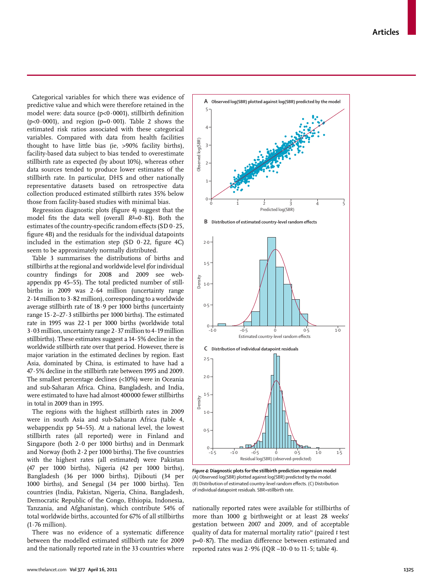**Articles**

Categorical variables for which there was evidence of predictive value and which were therefore retained in the model were: data source ( $p<0.0001$ ), stillbirth definition ( $p<0.0001$ ), and region ( $p=0.001$ ). Table 2 shows the estimated risk ratios associated with these categorical variables. Compared with data from health facilities thought to have little bias (ie, >90% facility births), facility-based data subject to bias tended to overestimate stillbirth rate as expected (by about 10%), whereas other data sources tended to produce lower estimates of the stillbirth rate. In particular, DHS and other nationally representative datasets based on retrospective data collection produced estimated stillbirth rates 35% below those from facility-based studies with minimal bias.

Regression diagnostic plots (figure 4) suggest that the model fits the data well (overall  $R^2=0.81$ ). Both the estimates of the country-specific random effects (SD  $0.25$ , figure 4B) and the residuals for the individual datapoints included in the estimation step (SD  $0.22$ , figure 4C) seem to be approximately normally distributed.

Table 3 summarises the distributions of births and stillbirths at the regional and worldwide level (for individual country findings for 2008 and 2009 see webappendix pp 45–55). The total predicted number of stillbirths in 2009 was 2·64 million (uncertainty range 2·14 million to 3·82 million), corresponding to a worldwide average stillbirth rate of 18·9 per 1000 births (uncertainty range 15·2–27·3 stillbirths per 1000 births). The estimated rate in 1995 was 22·1 per 1000 births (worldwide total 3·03 million, uncertainty range 2·37 million to 4·19 million stillbirths). These estimates suggest a 14·5% decline in the worldwide stillbirth rate over that period. However, there is major variation in the estimated declines by region. East Asia, dominated by China, is estimated to have had a 47·5% decline in the stillbirth rate between 1995 and 2009. The smallest percentage declines (<10%) were in Oceania and sub-Saharan Africa. China, Bangladesh, and India, were estimated to have had almost 400 000 fewer stillbirths in total in 2009 than in 1995.

The regions with the highest stillbirth rates in 2009 were in south Asia and sub-Saharan Africa (table 4, webappendix pp 54–55). At a national level, the lowest stillbirth rates (all reported) were in Finland and Singapore (both 2·0 per 1000 births) and in Denmark and Norway (both  $2 \cdot 2$  per 1000 births). The five countries with the highest rates (all estimated) were Pakistan (47 per 1000 births), Nigeria (42 per 1000 births), Bangladesh (36 per 1000 births), Djibouti (34 per 1000 births), and Senegal (34 per 1000 births). Ten countries (India, Pakistan, Nigeria, China, Bangladesh, Democratic Republic of the Congo, Ethiopia, Indonesia, Tanzania, and Afghanistan), which contribute 54% of total worldwide births, accounted for 67% of all stillbirths  $(1.76 \text{ million}).$ 

There was no evidence of a systematic difference between the modelled estimated stillbirth rate for 2009 and the nationally reported rate in the 33 countries where



*Figure 4:* **Diagnostic plots for the stillbirth prediction regression model** (A) Observed log(SBR) plotted against log(SBR) predicted by the model. (B) Distribution of estimated country-level random effects. (C) Distribution of individual datapoint residuals. SBR=stillbirth rate.

nationally reported rates were available for stillbirths of more than 1000 g birthweight or at least 28 weeks' gestation between 2007 and 2009, and of acceptable quality of data for maternal mortality ratio14 (paired *t* test  $p=0.87$ ). The median difference between estimated and reported rates was  $2.9\%$  (IQR  $-10.0$  to  $11.5$ ; table 4).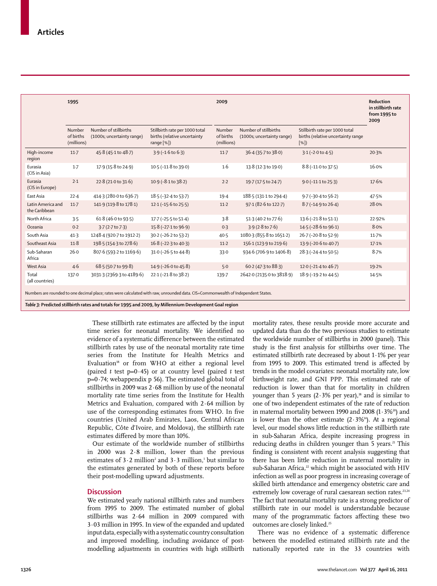|                                    | 1995                              |                                                     |                                                                              |                                   | 2009                                                |                                                                              |        |  |
|------------------------------------|-----------------------------------|-----------------------------------------------------|------------------------------------------------------------------------------|-----------------------------------|-----------------------------------------------------|------------------------------------------------------------------------------|--------|--|
|                                    | Number<br>of births<br>(millions) | Number of stillbirths<br>(1000s; uncertainty range) | Stillbirth rate per 1000 total<br>births (relative uncertainty<br>range [%]) | Number<br>of births<br>(millions) | Number of stillbirths<br>(1000s; uncertainty range) | Stillbirth rate per 1000 total<br>births (relative uncertainty range<br>[%]) |        |  |
| High-income<br>region              | 11.7                              | 45.8 (45.1 to 48.7)                                 | $3.9$ ( $-1.6$ to $6.3$ )                                                    | $11-7$                            | 36.4 (35.7 to 38.0)                                 | $3.1$ (-2.0 to 4.5)                                                          | 20.3%  |  |
| Eurasia<br>(CIS in Asia)           | $1-7$                             | 17.9 (15.8 to 24.9)                                 | 10.5 (-11.8 to 39.0)                                                         | 1.6                               | 13.8 (12.3 to 19.0)                                 | 8.8 (-11.0 to 37.5)                                                          | 16.0%  |  |
| Eurasia<br>(CIS in Europe)         | 2.1                               | 22.8 (21.0 to 31.6)                                 | 10.9 (-8.1 to 38.2)                                                          | 2.2                               | 19.7 (17.5 to 24.7)                                 | 9.0 (-11.1 to 25.3)                                                          | 17.6%  |  |
| East Asia                          | 22.4                              | 414.3 (280.0 to 636.7)                              | 18.5 (-32.4 to 53.7)                                                         | $19-4$                            | 188.5 (131.1 to 294.4)                              | 9.7 (-30.4 to 56.2)                                                          | 47.5%  |  |
| Latin America and<br>the Caribbean | $11-7$                            | 141.9 (119.8 to 178.1)                              | $12.1$ (-15.6 to 25.5)                                                       | $11-2$                            | 97.1 (82.6 to 122.7)                                | 8.7 (-14.9 to 26.4)                                                          | 28.0%  |  |
| North Africa                       | 3.5                               | 61.8 (46.0 to 93.5)                                 | 17.7 (-25.5 to 51.4)                                                         | 3.8                               | 51.3 (40.2 to 77.6)                                 | 13.6 (-21.8 to 51.1)                                                         | 22.92% |  |
| Oceania                            | 0.2                               | 3.7 (2.7 to 7.3)                                    | 15.8 (-27.1 to 96.9)                                                         | 0.3                               | $3.9(2.8 \text{ to } 7.6)$                          | 14.5 (-28.6 to 96.1)                                                         | 8.0%   |  |
| South Asia                         | 41.3                              | 1248-4 (920-7 to 1912-2)                            | 30.2 (-26.2 to 53.2)                                                         | $40-5$                            | 1080-3 (855-8 to 1651-2)                            | 26.7 (-20.8 to 52.9)                                                         | 11.7%  |  |
| Southeast Asia                     | 11.8                              | 198.5 (154.3 to 278.6)                              | 16.8 (-22.3 to 40.3)                                                         | $11-2$                            | 156.1 (123.9 to 219.6)                              | 13.9 (-20.6 to 40.7)                                                         | 17.1%  |  |
| Sub-Saharan<br>Africa              | 26.0                              | 807.6 (593.2 to 1169.6)                             | 31.0 (-26.5 to 44.8)                                                         | 33.0                              | 934.6 (706.9 to 1406.8)                             | 28.3 (-24.4 to 50.5)                                                         | 8.7%   |  |
| West Asia                          | 4.6                               | 68.5 (50.7 to 99.8)                                 | 14.9 (-26.0 to 45.8)                                                         | 5.0                               | 60.2 (47.3 to 88.3)                                 | 12.0 (-21.4 to 46.7)                                                         | 19.2%  |  |
| Total<br>(all countries)           | 137.0                             | 3031.3 (2369.3 to 4189.6)                           | 22-1 (-21-8 to 38-2)                                                         | 139.7                             | 2642.0 (2135.0 to 3818.9)                           | 18.9 (-19.2 to 44.5)                                                         | 14.5%  |  |

*Table 3:* **Predicted stillbirth rates and totals for 1995 and 2009, by Millennium Development Goal region**

These stillbirth rate estimates are affected by the input time series for neonatal mortality. We identified no evidence of a systematic difference between the estimated stillbirth rates by use of the neonatal mortality rate time series from the Institute for Health Metrics and Evaluation<sup>18</sup> or from WHO at either a regional level (paired *t* test  $p=0.45$ ) or at country level (paired *t* test p=0·74; webappendix p 56). The estimated global total of stillbirths in 2009 was 2·68 million by use of the neonatal mortality rate time series from the Institute for Health Metrics and Evaluation, compared with 2·64 million by use of the corresponding estimates from WHO. In five countries (United Arab Emirates, Laos, Central African Republic, Côte d'Ivoire, and Moldova), the stillbirth rate estimates differed by more than 10%.

Our estimate of the worldwide number of stillbirths in 2000 was 2·8 million, lower than the previous estimates of  $3 \cdot 2$  million<sup>2</sup> and  $3 \cdot 3$  million,<sup>1</sup> but similar to the estimates generated by both of these reports before their post-modelling upward adjustments.

# **Discussion**

We estimated yearly national stillbirth rates and numbers from 1995 to 2009. The estimated number of global stillbirths was 2·64 million in 2009 compared with 3·03 million in 1995. In view of the expanded and updated input data, especially with a systematic country consultation and improved modelling, including avoidance of postmodelling adjustments in countries with high stillbirth mortality rates, these results provide more accurate and updated data than do the two previous studies to estimate the worldwide number of stillbirths in 2000 (panel). This study is the first analysis for stillbirths over time. The estimated stillbirth rate decreased by about 1·1% per year from 1995 to 2009. This estimated trend is affected by trends in the model covariates: neonatal mortality rate, low birthweight rate, and GNI PPP. This estimated rate of reduction is lower than that for mortality in children younger than 5 years  $(2.3\%$  per year),<sup>18</sup> and is similar to one of two independent estimates of the rate of reduction in maternal mortality between 1990 and 2008  $(1.3\%)$  and is lower than the other estimate  $(2.3\frac{1}{1})$ . At a regional level, our model shows little reduction in the stillbirth rate in sub-Saharan Africa, despite increasing progress in reducing deaths in children younger than 5 years.<sup>21</sup> This finding is consistent with recent analysis suggesting that there has been little reduction in maternal mortality in sub-Saharan Africa,<sup>22</sup> which might be associated with HIV infection as well as poor progress in increasing coverage of skilled birth attendance and emergency obstetric care and extremely low coverage of rural caesarean section rates.<sup>23,24</sup> The fact that neonatal mortality rate is a strong predictor of stillbirth rate in our model is understandable because many of the programmatic factors affecting these two outcomes are closely linked.25

There was no evidence of a systematic difference between the modelled estimated stillbirth rate and the nationally reported rate in the 33 countries with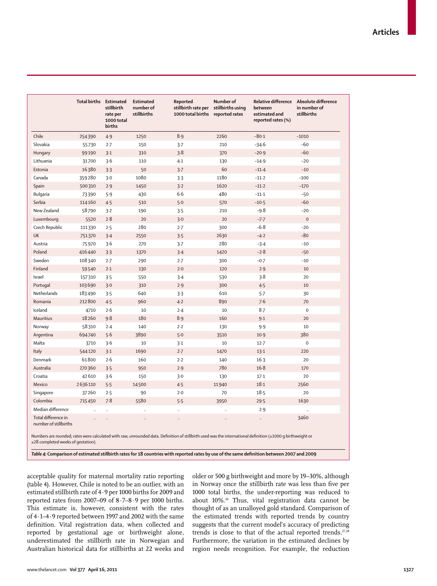|                                              | Total births Estimated | stillbirth<br>rate per<br>1000 total<br>births | <b>Estimated</b><br>number of<br>stillbirths | Reported<br>stillbirth rate per<br>1000 total births                                                                                                                                                                                                                                                      | Number of<br>stillbirths using<br>reported rates | <b>Relative difference</b><br>between<br>estimated and<br>reported rates (%) | Absolute difference<br>in number of<br>stillbirths |
|----------------------------------------------|------------------------|------------------------------------------------|----------------------------------------------|-----------------------------------------------------------------------------------------------------------------------------------------------------------------------------------------------------------------------------------------------------------------------------------------------------------|--------------------------------------------------|------------------------------------------------------------------------------|----------------------------------------------------|
| Chile                                        | 254390                 | 4.9                                            | 1250                                         | 8.9                                                                                                                                                                                                                                                                                                       | 2260                                             | $-80.1$                                                                      | $-1010$                                            |
| Slovakia                                     | 55730                  | $2-7$                                          | 150                                          | 3.7                                                                                                                                                                                                                                                                                                       | 210                                              | $-34.6$                                                                      | $-60$                                              |
| Hungary                                      | 99190                  | 3.1                                            | 310                                          | 3.8                                                                                                                                                                                                                                                                                                       | 370                                              | $-20.9$                                                                      | $-60$                                              |
| Lithuania                                    | 31700                  | 3.6                                            | 110                                          | $4-1$                                                                                                                                                                                                                                                                                                     | 130                                              | $-14.9$                                                                      | $-20$                                              |
| Estonia                                      | 16380                  | 3.3                                            | 50                                           | 3.7                                                                                                                                                                                                                                                                                                       | 60                                               | $-11.4$                                                                      | $-10$                                              |
| Canada                                       | 359280                 | $3-0$                                          | 1080                                         | 3.3                                                                                                                                                                                                                                                                                                       | 1180                                             | $-11-2$                                                                      | $-100$                                             |
| Spain                                        | 500310                 | 2.9                                            | 1450                                         | 3.2                                                                                                                                                                                                                                                                                                       | 1620                                             | $-11-2$                                                                      | $-170$                                             |
| Bulgaria                                     | 73390                  | 5.9                                            | 430                                          | 6.6                                                                                                                                                                                                                                                                                                       | 480                                              | $-11-1$                                                                      | $-50$                                              |
| Serbia                                       | 114160                 | 4.5                                            | 510                                          | 5.0                                                                                                                                                                                                                                                                                                       | 570                                              | $-10.5$                                                                      | $-60$                                              |
| New Zealand                                  | 58790                  | 3.2                                            | 190                                          | 3.5                                                                                                                                                                                                                                                                                                       | 210                                              | $-9.8$                                                                       | $-20$                                              |
| Luxembourg                                   | 5520                   | 2.8                                            | 20                                           | 3.0                                                                                                                                                                                                                                                                                                       | 20                                               | $-7.7$                                                                       | $\mathbf{O}$                                       |
| Czech Republic                               | 111330                 | 2.5                                            | 280                                          | 2.7                                                                                                                                                                                                                                                                                                       | 300                                              | $-6.8$                                                                       | $-20$                                              |
| UK                                           | 751370                 | $3-4$                                          | 2550                                         | 3.5                                                                                                                                                                                                                                                                                                       | 2630                                             | $-4.2$                                                                       | $-80$                                              |
| Austria                                      | 75970                  | 3.6                                            | 270                                          | 3.7                                                                                                                                                                                                                                                                                                       | 280                                              | $-3.4$                                                                       | $-10$                                              |
| Poland                                       | 416440                 | 3.3                                            | 1370                                         | 3.4                                                                                                                                                                                                                                                                                                       | 1420                                             | $-2.8$                                                                       | $-50$                                              |
| Sweden                                       | 108340                 | 2.7                                            | 290                                          | 2.7                                                                                                                                                                                                                                                                                                       | 300                                              | $-0.7$                                                                       | $-10$                                              |
| Finland                                      | 59540                  | 2.1                                            | 130                                          | 2.0                                                                                                                                                                                                                                                                                                       | 120                                              | 2.9                                                                          | 10                                                 |
| Israel                                       | 157310                 | 3.5                                            | 550                                          | $3-4$                                                                                                                                                                                                                                                                                                     | 530                                              | 3.8                                                                          | 20                                                 |
| Portugal                                     | 103690                 | 3.0                                            | 310                                          | 2.9                                                                                                                                                                                                                                                                                                       | 300                                              | 4.5                                                                          | 10                                                 |
| Netherlands                                  | 183490                 | 3.5                                            | 640                                          | 3.3                                                                                                                                                                                                                                                                                                       | 610                                              | 5.7                                                                          | 30                                                 |
| Romania                                      | 212800                 | 4.5                                            | 960                                          | $4-2$                                                                                                                                                                                                                                                                                                     | 890                                              | 7.6                                                                          | 70                                                 |
| Iceland                                      | 4710                   | 2.6                                            | 10                                           | 2.4                                                                                                                                                                                                                                                                                                       | 10                                               | $8-7$                                                                        | $\mathbf 0$                                        |
| Mauritius                                    | 18260                  | 9.8                                            | 180                                          | 8.9                                                                                                                                                                                                                                                                                                       | 160                                              | 9.1                                                                          | 20                                                 |
| Norway                                       | 58310                  | 2.4                                            | 140                                          | 2.2                                                                                                                                                                                                                                                                                                       | 130                                              | 9.9                                                                          | 10                                                 |
| Argentina                                    | 694740                 | 5.6                                            | 3890                                         | 5.0                                                                                                                                                                                                                                                                                                       | 3510                                             | 10.9                                                                         | 380                                                |
| Malta                                        | 3710                   | 3.6                                            | 10                                           | $3-1$                                                                                                                                                                                                                                                                                                     | 10                                               | $12 - 7$                                                                     | $\mathbf 0$                                        |
| Italy                                        | 544120                 | $3-1$                                          | 1690                                         | 2.7                                                                                                                                                                                                                                                                                                       | 1470                                             | $13-1$                                                                       | 220                                                |
| Denmark                                      | 61800                  | 2.6                                            | 160                                          | 2.2                                                                                                                                                                                                                                                                                                       | 140                                              | $16-3$                                                                       | 20                                                 |
| Australia                                    | 270360                 | 3.5                                            | 950                                          | 2.9                                                                                                                                                                                                                                                                                                       | 780                                              | $16-8$                                                                       | 170                                                |
| Croatia                                      | 42610                  | 3.6                                            | 150                                          | 3.0                                                                                                                                                                                                                                                                                                       | 130                                              | $17-1$                                                                       | 20                                                 |
| Mexico                                       | 2636110                | 5.5                                            | 14500                                        | 4.5                                                                                                                                                                                                                                                                                                       | 11940                                            | $18-1$                                                                       | 2560                                               |
| Singapore                                    | 37260                  | 2.5                                            | 90                                           | 2.0                                                                                                                                                                                                                                                                                                       | 70                                               | $18-5$                                                                       | 20                                                 |
| Colombia                                     | 715450                 | 7.8                                            | 5580                                         | 5.5                                                                                                                                                                                                                                                                                                       | 3950                                             | 29.5                                                                         | 1630                                               |
| Median difference                            | $\mathbf{r}$           | $\mathbb{R}^2$                                 | $\ddot{\phantom{a}}$                         | $\ddot{\phantom{a}}$                                                                                                                                                                                                                                                                                      | à.                                               | 2.9                                                                          | $\ddotsc$                                          |
| Total difference in<br>number of stillbirths | $\ddot{\phantom{a}}$   | $\ddotsc$                                      | $\ddotsc$                                    |                                                                                                                                                                                                                                                                                                           | $\ddot{\phantom{a}}$                             | $\ddotsc$                                                                    | 3460                                               |
| ≥28 completed weeks of gestation).           |                        |                                                |                                              | Numbers are rounded; rates were calculated with raw, unrounded data. Definition of stillbirth used was the international definition (≥1000 g birthweight or<br>Table 4: Comparison of estimated stillbirth rates for 18 countries with reported rates by use of the same definition between 2007 and 2009 |                                                  |                                                                              |                                                    |

acceptable quality for maternal mortality ratio reporting (table 4). However, Chile is noted to be an outlier, with an estimated stillbirth rate of 4·9 per 1000 births for 2009 and reported rates from 2007–09 of 8·7–8·9 per 1000 births. This estimate is, however, consistent with the rates of 4·1–4·9 reported between 1997 and 2002 with the same definition. Vital registration data, when collected and reported by gestational age or birthweight alone, underestimated the stillbirth rate in Norwegian and Australian historical data for stillbirths at 22 weeks and

older or 500 g birthweight and more by 19–30%, although in Norway once the stillbirth rate was less than five per 1000 total births, the under-reporting was reduced to about 10%.26 Thus, vital registration data cannot be thought of as an unalloyed gold standard. Comparison of the estimated trends with reported trends by country suggests that the current model's accuracy of predicting trends is close to that of the actual reported trends.<sup>27,28</sup> Furthermore, the variation in the estimated declines by region needs recognition. For example, the reduction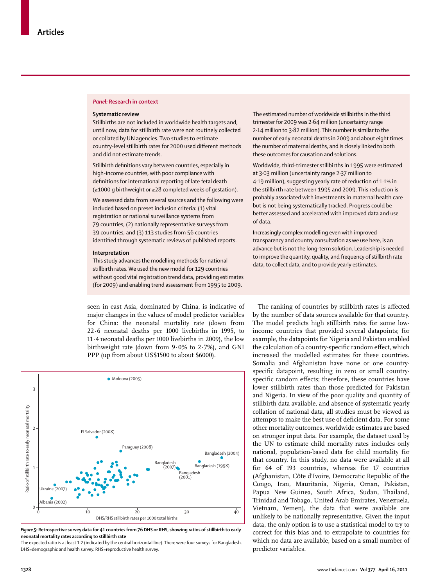## *Panel:* **Research in context**

## **Systematic review**

Stillbirths are not included in worldwide health targets and, until now, data for stillbirth rate were not routinely collected or collated by UN agencies. Two studies to estimate country-level stillbirth rates for 2000 used different methods and did not estimate trends.

Stillbirth definitions vary between countries, especially in high-income countries, with poor compliance with definitions for international reporting of late fetal death (≥1000 g birthweight or ≥28 completed weeks of gestation).

We assessed data from several sources and the following were included based on preset inclusion criteria: (1) vital registration or national surveillance systems from 79 countries, (2) nationally representative surveys from 39 countries, and (3) 113 studies from 56 countries identified through systematic reviews of published reports.

## **Interpretation**

This study advances the modelling methods for national stillbirth rates. We used the new model for 129 countries without good vital registration trend data, providing estimates (for 2009) and enabling trend assessment from 1995 to 2009.

seen in east Asia, dominated by China, is indicative of major changes in the values of model predictor variables for China: the neonatal mortality rate (down from 22·6 neonatal deaths per 1000 livebirths in 1995, to 11·4 neonatal deaths per 1000 livebirths in 2009), the low birthweight rate (down from  $9.0\%$  to 2.7%), and GNI PPP (up from about US\$1500 to about \$6000).



*Figure 5:* **Retrospective survey data for 41 countries from 76 DHS or RHS, showing ratios of stillbirth to early neonatal mortality rates according to stillbirth rate**

The expected ratio is at least 1·2 (indicated by the central horizontal line). There were four surveys for Bangladesh. DHS=demographic and health survey. RHS=reproductive health survey.

The estimated number of worldwide stillbirths in the third trimester for 2009 was 2·64 million (uncertainty range 2·14 million to 3·82 million). This number is similar to the number of early neonatal deaths in 2009 and about eight times the number of maternal deaths, and is closely linked to both these outcomes for causation and solutions.

Worldwide, third-trimester stillbirths in 1995 were estimated at 3·03 million (uncertainty range 2·37 million to 4·19 million), suggesting yearly rate of reduction of 1·1% in the stillbirth rate between 1995 and 2009. This reduction is probably associated with investments in maternal health care but is not being systematically tracked. Progress could be better assessed and accelerated with improved data and use of data.

Increasingly complex modelling even with improved transparency and country consultation as we use here, is an advance but is not the long-term solution. Leadership is needed to improve the quantity, quality, and frequency of stillbirth rate data, to collect data, and to provide yearly estimates.

The ranking of countries by stillbirth rates is affected by the number of data sources available for that country. The model predicts high stillbirth rates for some lowincome countries that provided several datapoints; for example, the datapoints for Nigeria and Pakistan enabled the calculation of a country-specific random effect, which increased the modelled estimates for these countries. Somalia and Afghanistan have none or one countryspecific datapoint, resulting in zero or small countryspecific random effects; therefore, these countries have lower stillbirth rates than those predicted for Pakistan and Nigeria. In view of the poor quality and quantity of stillbirth data available, and absence of systematic yearly collation of national data, all studies must be viewed as attempts to make the best use of deficient data. For some other mortality outcomes, worldwide estimates are based on stronger input data. For example, the dataset used by the UN to estimate child mortality rates includes only national, population-based data for child mortality for that country. In this study, no data were available at all for 64 of 193 countries, whereas for 17 countries (Afghanistan, Côte d'Ivoire, Democratic Republic of the Congo, Iran, Mauritania, Nigeria, Oman, Pakistan, Papua New Guinea, South Africa, Sudan, Thailand, Trinidad and Tobago, United Arab Emirates, Venezuela, Vietnam, Yemen), the data that were available are unlikely to be nationally representative. Given the input data, the only option is to use a statistical model to try to correct for this bias and to extrapolate to countries for which no data are available, based on a small number of predictor variables.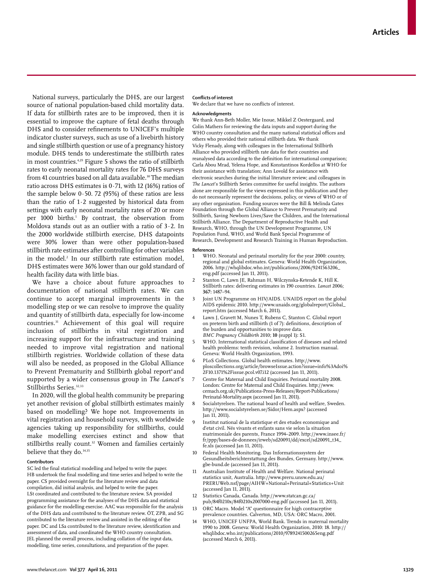National surveys, particularly the DHS, are our largest source of national population-based child mortality data. If data for stillbirth rates are to be improved, then it is essential to improve the capture of fetal deaths through DHS and to consider refinements to UNICEF's multiple indicator cluster surveys, such as use of a livebirth history and single stillbirth question or use of a pregnancy history module. DHS tends to underestimate the stillbirth rates in most countries.<sup>4,29</sup> Figure 5 shows the ratio of stillbirth rates to early neonatal mortality rates for 76 DHS surveys from 41 countries based on all data available.<sup>30</sup> The median ratio across DHS estimates is  $0.71$ , with 12 (16%) ratios of the sample below  $0.50$ . 72 (95%) of these ratios are less than the ratio of 1·2 suggested by historical data from settings with early neonatal mortality rates of 20 or more per 1000 births.1 By contrast, the observation from Moldova stands out as an outlier with a ratio of 3·2. In the 2000 worldwide stillbirth exercise, DHS datapoints were 30% lower than were other population-based stillbirth rate estimates after controlling for other variables in the model.2 In our stillbirth rate estimation model, DHS estimates were 36% lower than our gold standard of health facility data with little bias.

We have a choice about future approaches to documentation of national stillbirth rates. We can continue to accept marginal improvements in the modelling step or we can resolve to improve the quality and quantity of stillbirth data, especially for low-income countries.31 Achievement of this goal will require inclusion of stillbirths in vital registration and increasing support for the infrastructure and training needed to improve vital registration and national stillbirth registries. Worldwide collation of these data will also be needed, as proposed in the Global Alliance to Prevent Prematurity and Stillbirth global report<sup>4</sup> and supported by a wider consensus group in *The Lancet*'s Stillbirths Series.<sup>32,33</sup>

In 2020, will the global health community be preparing yet another revision of global stillbirth estimates mainly based on modelling? We hope not. Improvements in vital registration and household surveys, with worldwide agencies taking up responsibility for stillbirths, could make modelling exercises extinct and show that stillbirths really count.<sup>32</sup> Women and families certainly believe that they do.<sup>34,35</sup>

#### **Contributors**

SC led the final statistical modelling and helped to write the paper. HB undertook the final modelling and time series and helped to write the paper. CS provided oversight for the literature review and data compilation, did initial analysis, and helped to write the paper. LSt coordinated and contributed to the literature review. SA provided programming assistance for the analyses of the DHS data and statistical guidance for the modelling exercise. AAC was responsible for the analysis of the DHS data and contributed to the literature review. ÖT, ZPB, and SG contributed to the literature review and assisted in the editing of the paper. DC and LSa contributed to the literature review, identification and assessment of data, and coordinated the WHO country consultation. JEL planned the overall process, including collation of the input data, modelling, time series, consultations, and preparation of the paper.

#### **Conflicts of interest**

We declare that we have no conflicts of interest.

#### **Acknowledgments**

We thank Ann-Beth Moller, Mie Inoue, Mikkel Z Oestergaard, and Colin Mathers for reviewing the data inputs and support during the WHO country consultation and the many national statistical offices and others who provided their national stillbirth data. We thank Vicky Flenady, along with colleagues in the International Stillbirth Alliance who provided stillbirth rate data for their countries and reanalysed data according to the definition for international comparison; Carla Abou Mrad, Yelena Hope, and Konstantinos Kordellos at WHO for their assistance with translation; Ann Lovold for assistance with electronic searches during the initial literature review; and colleagues in *The Lancet*'s Stillbirth Series committee for useful insights. The authors alone are responsible for the views expressed in this publication and they do not necessarily represent the decisions, policy, or views of WHO or of any other organisation. Funding sources were the Bill & Melinda Gates Foundation through the Global Alliance to Prevent Prematurity and Stillbirth, Saving Newborn Lives/Save the Children, and the International Stillbirth Alliance. The Department of Reproductive Health and Research, WHO, through the UN Development Programme, UN Population Fund, WHO, and World Bank Special Programme of Research, Development and Research Training in Human Reproduction.

#### **References**

- WHO. Neonatal and perinatal mortality for the year 2000: country, regional and global estimates. Geneva: World Health Organization, 2006. http://whqlibdoc.who.int/publications/2006/9241563206\_ eng.pdf (accessed Jan 11, 2011).
- 2 Stanton C, Lawn JE, Rahman H, Wilczynska-Ketende K, Hill K. Stillbirth rates: delivering estimates in 190 countries. *Lancet* 2006; **367:** 1487–94.
- Joint UN Programme on HIV/AIDS. UNAIDS report on the global AIDS epidemic 2010. http://www.unaids.org/globalreport/Global\_ report.htm (accessed March 6, 2011).
- Lawn J, Gravett M, Nunes T, Rubens C, Stanton C. Global report on preterm birth and stillbirth (1 of 7): definitions, description of the burden and opportunities to improve data. *BMC Pregnancy Childbirth* 2010; **10** (suppl 1)**:** S1.
- WHO. International statistical classification of diseases and related health problems: tenth revision, volume 2. Instruction manual. Geneva: World Health Organization, 1993.
- 6 PLoS Collections. Global health estimates. http://www. ploscollections.org/article/browseIssue.action?issue=info%3Adoi% 2F10.1371% 2Fissue.pcol.v07.i12 (accessed Jan 11, 2011).
- 7 Centre for Maternal and Child Enquiries. Perinatal mortality 2008. London: Centre for Maternal and Child Enquiries. http://www. cemach.org.uk/Publications-Press-Releases/Report-Publications/ Perinatal-Mortality.aspx (accessed Jan 11, 2011).
- 8 Socialstyrelsen. The national board of health and welfare, Sweden. http://www.socialstyrelsen.se/Sidor/Hem.aspx? (accessed Jan 11, 2011).
- 9 Institut national de la statistique et des etudes economique and d'etat civil. Nés vivants et enfants sans vie selon la situation matrimoniale des parents, France 1994–2009. http://www.insee.fr/ fr/ppp/bases-de-donnees/irweb/sd20091/dd/excel/sd20091\_t34\_ fe.xls (accessed Jan 11, 2011).
- 10 Federal Health Monitoring. Das Informationssystem der Gesundheitsberichterstattung des Bundes, Germany. http://www. gbe-bund.de (accessed Jan 11, 2011).
- 11 Australian Institute of Health and Welfare. National perinatal statistics unit, Australia. http://www.preru.unsw.edu.au/ PRERUWeb.nsf/page/AIHW+National+Perinatal+Statistics+Unit (accessed Jan 11, 2011).
- 12 Statistics Canada, Canada. http://www.statcan.gc.ca/ pub/84f0210x/84f0210x2007000-eng.pdf (accessed Jan 11, 2011).
- 13 ORC Macro. Model "A" questionnaire for high contraceptive prevalence countries. Calverton, MD, USA: ORC Macro, 2001.
- WHO, UNICEF UNFPA, World Bank. Trends in maternal mortality 1990 to 2008. Geneva: World Health Organization, 2010: 18. http:// whqlibdoc.who.int/publications/2010/9789241500265eng.pdf (accessed March 6, 2011).